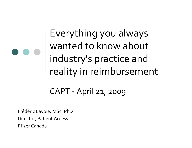Everything you always wanted to know about industry's practice and reality in reimbursement

### CAPT ‐ April 21, 2009

Frédéric Lavoie, MSc, PhD Director, Patient Access Pfizer Canada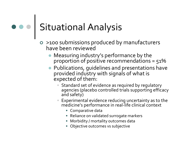## Situational Analysis

- o >100 submissions produced by manufacturers have been reviewed
	- $\bullet\,$  Measuring industry's performance by the proportion of positive recommendations  $= 51\%$
	- **Publications, guidelines and presentations have** provided industry with signals of what is expected of them:
		- $\bullet$  Standard set of evidence as required by regulatory agencies (placebo controlled trials supporting efficacy and safety)
		- $\bullet$  Experimental evidence reducing uncertainty as to the medicine's performance in real‐life clinical context
			- Comparative data
			- Reliance on validated surrogate markers
			- Morbidity / mortality outcomes data
			- Objective outcomes vs subjective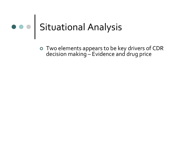

| Two elements appears to be key drivers of CDR decision making – Evidence and drug price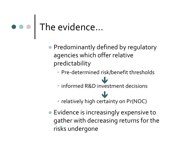# o o o | The evidence...

- Predominantly defined by requlatory agencies which offer relative predictability
	- Pre-determined risk/benefit thresholds
	- · informed R&D investment decisions
	- relatively high certainty on Pr(NOC)
- Evidence is increasingly expensive to gather with decreasing returns for the risks undergone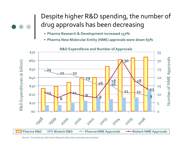#### Despite higher R&D spending, the number of drug approvals has been decreasing

- **Pharma Research & Development increased 137%**
- **Pharma New Molecular Entity (NME) approvals were down 63%**



Source: Tim Anderson, Bernstein Research, Bernstein estimates and analysis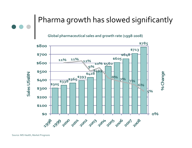#### Pharma growth has slowed significantly

**Global pharmaceutical sales and growth rate (1998‐2008)**

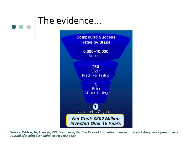

**Source: DiMasi, JA, Hansen, RW,Grabowski, HG.The Price of Innovation: new estimates of drug development costs. J***ournal of Health Economics***. 2003; 22:151‐185.**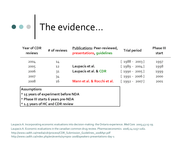

| Year of CDR<br>reviews             | # of reviews                        | Publications: Peer-reviewed,<br>presentations, guidelines | Trial period    | <b>Phase III</b><br>start |
|------------------------------------|-------------------------------------|-----------------------------------------------------------|-----------------|---------------------------|
| 2004                               | 14                                  |                                                           | $[1988 - 2003]$ | 1997                      |
| 2005                               | 12                                  | Laupacis et al.                                           | $[1989 - 2004]$ | 1998                      |
| 2006                               | 31                                  | Laupacis et al. & CDR                                     | $[1990 - 2005]$ | 1999                      |
| 2007                               | 34                                  |                                                           | $[1991 - 2006]$ | 2000                      |
| 2008                               | 16                                  | Mann et al. & Rocchi et al.                               | $[1992 - 2007]$ | 2001                      |
| Assumptions                        |                                     |                                                           |                 |                           |
|                                    | * 15 years of experiment before NDA |                                                           |                 |                           |
| * Phase III starts 6 years pre-NDA |                                     |                                                           |                 |                           |
|                                    | * 1.5 years of HC and CDR review    |                                                           |                 |                           |

http://www.cadth.ca/media/cdr/process/CDR\_Submission\_Guidelines\_2008Apr.pdf LaupacisA. Incorporating economic evaluations into decision‐making: the Ontario experience. *Med Care.* 2005;43:15‐19. LaupacisA. Economic evaluations in the canadian common drug review. *Pharmacoeconomics.* 2006;24:1157‐1162. http://www.cadth.ca/index.php/en/events/sympos‐2008/speakers‐presentations‐day‐<sup>1</sup>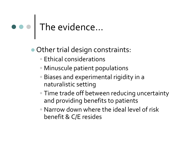## The evidence…

- **Other trial design constraints:** 
	- Ethical considerations
	- Minuscule patient populations
	- Biases and experimental rigidity in <sup>a</sup> naturalistic setting
	- Time trade off between reducing uncertainty and providing benefits to patients
	- Narrow down where the ideal level of risk benefit & C/E resides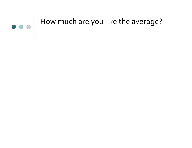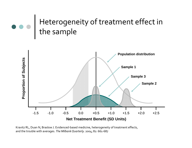#### Heterogeneity of treatment effect in  $\begin{array}{c|c} \bullet & \bullet & \bullet \\ \hline \end{array}$ the sample



Kravitz RL, Duan N, Braslow J. Evidenced‐based medicine, heterogeneity of treatment effects, and the trouble with averages. *The MilbankQuarterly*. 2004; 82: 661‐687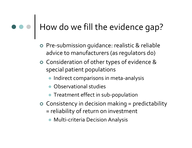#### How do we fill the evidence gap?

- | Pre‐submission guidance: realistic & reliable advice to manufacturers (as regulators do)
- | Consideration of other types of evidence & special patient populations
	- $\bullet$ Indirect comparisons in meta-analysis
	- $\bullet$ Observational studies
	- Treatment effect in sub-population
- $\bullet$  Consistency in decision making = predictability = $\,$  = reliability of return on investment
	- Multi-criteria Decision Analysis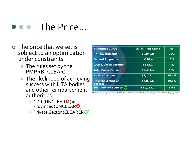

- **o** The price that we set is subject to an optimization under constraints
	- $\bullet$  The rules set by the PMPRB (CLEAR)
	- **The likelihood of achieving** success with HTA bodies and other reimbursement authorities
		- $\bullet$  CDR (UNCLEAR $\bullet$ ) = Provinces (UNCLEAR۞)
		- •● Private Sector (CLEARER♥)

| <b>Funding Source</b>                | (\$ 'million CDN) | $\frac{9}{0}$ |
|--------------------------------------|-------------------|---------------|
| <b>P/T</b> governments               | \$8,048.8         | 39%           |
| <b>Federal Programs</b>              | \$620.4           | 3%            |
| <b>WCB &amp; Social Security</b>     | \$812.2           | 4%            |
| <b>Total Public Funding</b>          | \$9,481.4         | 46%           |
| <b>Private Insurers</b>              | \$7,101.1         | 34.4%         |
| <b>Household (Out-of-</b><br>pocket) | \$4,033.6         | 19.6%         |
| <b>Total Private Sources</b>         | \$11,134.7        | 54%           |

\* Balancing Supply and Demand of Medicines: Lessons from the Canadian Experience, CADTH, July 13, 2006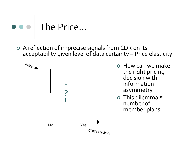

**O** A reflection of imprecise signals from CDR on its acceptability given level of data certainty – Price elasticity



- **o** How can we make the right pricing decision with informationasymmetry
- $\circ$  This dilemma  $^{\star}$ number of member plans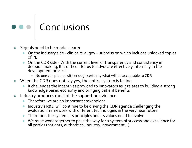

- $\bullet$  Signals need to be made clearer
	- $\bullet$  On the industry side ‐ clinical trial.gov <sup>+</sup> submission which includes unlocked copies of PE
	- $\bullet$ On the CDR side - With the current level of transparency and consistency in decision making, It is difficult for us to advocate effectively internally in the development process
		- No one can predict with enough certainty what will be acceptable to CDR
- $\bullet$  When the CDR does not say yes, the entire system is failing
	- $\bullet$  It challenges the incentives provided to innovators as it relates to building <sup>a</sup> strong knowledge based economy and bringing patient benefits
- $\bullet$  Industry produces most of the supporting evidence
	- $\bullet$  Therefore we are an important stakeholder
	- **•** Industry's R&D will continue to be driving the CDR agenda challenging the evaluation framework with different technologies in the very near future
	- $\bullet$  Therefore, the system, its principles and its values need to evolve
	- $\bullet$  We must work together to pave the way for a system of success and excellence for all parties (patients, authorities, industry, government…)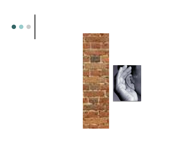